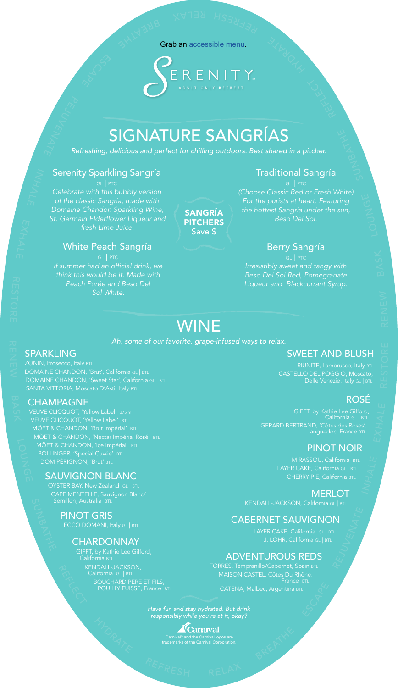# SIGNATURE SANGRÍAS

*Refreshing, delicious and perfect for chilling outdoors. Best shared in a pitcher.*

# WINE

*Ah, some of our favorite, grape-infused ways to relax.*

# **SPARKLING**

# Traditional Sangría

*(Choose Classic Red or Fresh White) For the purists at heart. Featuring the hottest Sangría under the sun, Beso Del Sol.*

> RIUNITE, Lambrusco, Italy BTL CASTELLO DEL POGGIO, Moscato,

# Berry Sangría

*Irresistibly sweet and tangy with Beso Del Sol Red, Pomegranate Liqueur and Blackcurrant Syrup.*

**MERLOT** KENDALL-JACKSON, California GL | BTL

# SWEET AND BLUSH

# ROSÉ

GIFFT, by Kathie Lee Gifford, California GL | BTL GERARD BERTRAND, 'Côtes des Roses', Languedoc, France BTL

# PINOT NOIR

MIRASSOU, California BTL LAYER CAKE, California GL | BTL CHERRY PIE, California BTL

OYSTER BAY, New Zealand GL | BTL CAPE MENTELLE, Sauvignon Blanc/ Semillon, Australia BTL

# CABERNET SAUVIGNON

KENDALL-JACKSON, California GL | BTL BOUCHARD PERE ET FILS, **POUILLY FUISSE, France BTL** 

LAYER CAKE, California GL | BTL

#### ADVENTUROUS REDS

TORRES, Tempranillo/Cabernet, Spain BTL MAISON CASTEL, Côtes Du Rhône, France BTL CATENA, Malbec, Argentina BTL

ZONIN, Prosecco, Italy BTL DOMAINE CHANDON, 'Brut', California GL | BTL DOMAINE CHANDON, 'Sweet Star', California GL | BTL SANTA VITTORIA, Moscato D'Asti, Italy BTL

## **CHAMPAGNE**

VEUVE CLICQUOT, 'Yellow Label' 375 ml VEUVE CLICQUOT, 'Yellow Label' BTL MÖET & CHANDON, 'Brut Impérial' BTL MÖET & CHANDON, 'Nectar Impérial Rosé' BTL MÖET & CHANDON, 'Ice Impérial' BTL BOLLINGER, 'Special Cuvée' BTL DOM PÉRIGNON, 'Brut' BTL

## SAUVIGNON BLANC

#### PINOT GRIS

ECCO DOMANI, Italy GL | BTL

CHARDONNAY

*Have fun and stay hydrated. But drink responsibly while you're at it, okay?*



SANGRÍA **PITCHERS** Save \$

## Serenity Sparkling Sangría

*Celebrate with this bubbly version of the classic Sangría, made with Domaine Chandon Sparkling Wine, St. Germain Elderflower Liqueur and fresh Lime Juice.*

## White Peach Sangría

*If summer had an official drink, we think this would be it. Made with Peach Purée and Beso Del Sol White.*

> Carnival® and the Carnival logos are trademarks of the Carnival Corporation.

Grab an [accessible menu.](http://www.carnival.com/~/media/Images/explore/onboard/bars/menus/serenity-bar-menu-accessible.pdf)